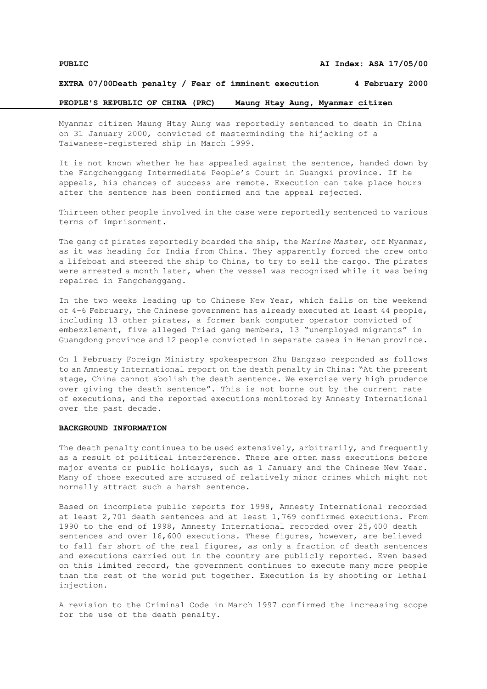## **EXTRA 07/00Death penalty / Fear of imminent execution 4 February 2000**

# **PEOPLE'S REPUBLIC OF CHINA (PRC) Maung Htay Aung, Myanmar citizen**

Myanmar citizen Maung Htay Aung was reportedly sentenced to death in China on 31 January 2000, convicted of masterminding the hijacking of a Taiwanese-registered ship in March 1999.

It is not known whether he has appealed against the sentence, handed down by the Fangchenggang Intermediate People's Court in Guangxi province. If he appeals, his chances of success are remote. Execution can take place hours after the sentence has been confirmed and the appeal rejected.

Thirteen other people involved in the case were reportedly sentenced to various terms of imprisonment.

The gang of pirates reportedly boarded the ship, the *Marine Master*, off Myanmar, as it was heading for India from China. They apparently forced the crew onto a lifeboat and steered the ship to China, to try to sell the cargo. The pirates were arrested a month later, when the vessel was recognized while it was being repaired in Fangchenggang.

In the two weeks leading up to Chinese New Year, which falls on the weekend of 4-6 February, the Chinese government has already executed at least 44 people, including 13 other pirates, a former bank computer operator convicted of embezzlement, five alleged Triad gang members, 13 "unemployed migrants" in Guangdong province and 12 people convicted in separate cases in Henan province.

On 1 February Foreign Ministry spokesperson Zhu Bangzao responded as follows to an Amnesty International report on the death penalty in China: "At the present stage, China cannot abolish the death sentence. We exercise very high prudence over giving the death sentence". This is not borne out by the current rate of executions, and the reported executions monitored by Amnesty International over the past decade.

## **BACKGROUND INFORMATION**

The death penalty continues to be used extensively, arbitrarily, and frequently as a result of political interference. There are often mass executions before major events or public holidays, such as 1 January and the Chinese New Year. Many of those executed are accused of relatively minor crimes which might not normally attract such a harsh sentence.

Based on incomplete public reports for 1998, Amnesty International recorded at least 2,701 death sentences and at least 1,769 confirmed executions. From 1990 to the end of 1998, Amnesty International recorded over 25,400 death sentences and over 16,600 executions. These figures, however, are believed to fall far short of the real figures, as only a fraction of death sentences and executions carried out in the country are publicly reported. Even based on this limited record, the government continues to execute many more people than the rest of the world put together. Execution is by shooting or lethal injection.

A revision to the Criminal Code in March 1997 confirmed the increasing scope for the use of the death penalty**.**